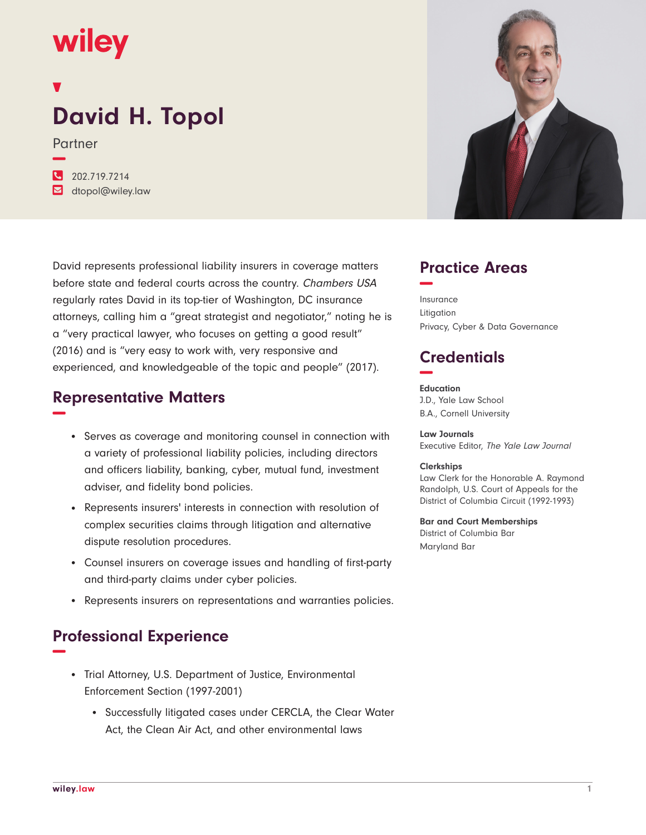# **wiley**

**−**

## **David H. Topol**

Partner

**�** 202.719.7214 **�** dtopol@wiley.law

David represents professional liability insurers in coverage matters before state and federal courts across the country. Chambers USA regularly rates David in its top-tier of Washington, DC insurance attorneys, calling him a "great strategist and negotiator," noting he is a "very practical lawyer, who focuses on getting a good result" (2016) and is "very easy to work with, very responsive and experienced, and knowledgeable of the topic and people" (2017).

#### **Representative Matters −**

- Serves as coverage and monitoring counsel in connection with a variety of professional liability policies, including directors and officers liability, banking, cyber, mutual fund, investment adviser, and fidelity bond policies.
- Represents insurers' interests in connection with resolution of complex securities claims through litigation and alternative dispute resolution procedures.
- Counsel insurers on coverage issues and handling of first-party and third-party claims under cyber policies.
- Represents insurers on representations and warranties policies.

### **Professional Experience −**

- Trial Attorney, U.S. Department of Justice, Environmental Enforcement Section (1997-2001)
	- Successfully litigated cases under CERCLA, the Clear Water Act, the Clean Air Act, and other environmental laws



#### **Practice Areas −**

Insurance Litigation Privacy, Cyber & Data Governance

#### **Credentials −**

**Education** J.D., Yale Law School B.A., Cornell University

**Law Journals** Executive Editor, The Yale Law Journal

#### **Clerkships**

Law Clerk for the Honorable A. Raymond Randolph, U.S. Court of Appeals for the District of Columbia Circuit (1992-1993)

**Bar and Court Memberships** District of Columbia Bar Maryland Bar